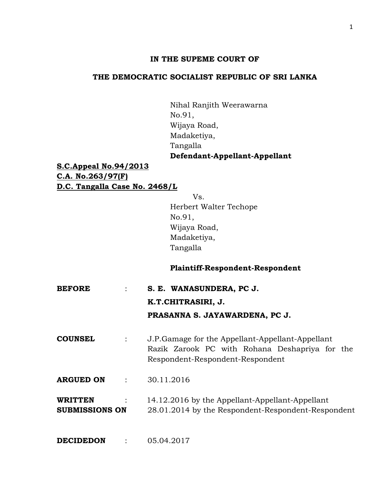# **IN THE SUPEME COURT OF**

# **THE DEMOCRATIC SOCIALIST REPUBLIC OF SRI LANKA**

Nihal Ranjith Weerawarna No.91, Wijaya Road, Madaketiya, Tangalla **Defendant-Appellant-Appellant**

**S.C.Appeal No.94/2013 C.A. No.263/97(F) D.C. Tangalla Case No. 2468/L**

> Vs. Herbert Walter Techope No.91, Wijaya Road, Madaketiya, Tangalla

## **Plaintiff-Respondent-Respondent**

- **BEFORE** : **S. E. WANASUNDERA, PC J. K.T.CHITRASIRI, J. PRASANNA S. JAYAWARDENA, PC J.**
- **COUNSEL** : J.P.Gamage for the Appellant-Appellant-Appellant Razik Zarook PC with Rohana Deshapriya for the Respondent-Respondent-Respondent
- **ARGUED ON** : 30.11.2016

| <b>WRITTEN</b>        | 14.12.2016 by the Appellant-Appellant-Appellant    |
|-----------------------|----------------------------------------------------|
| <b>SUBMISSIONS ON</b> | 28.01.2014 by the Respondent-Respondent-Respondent |

**DECIDEDON** : 05.04.2017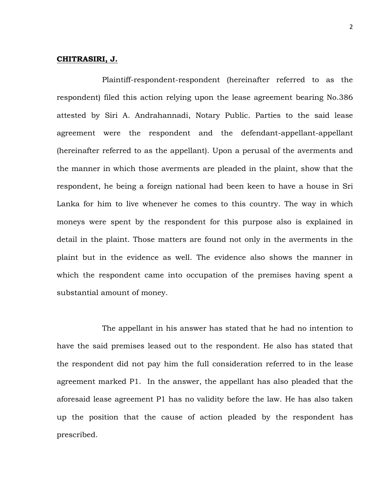## **CHITRASIRI, J.**

Plaintiff-respondent-respondent (hereinafter referred to as the respondent) filed this action relying upon the lease agreement bearing No.386 attested by Siri A. Andrahannadi, Notary Public. Parties to the said lease agreement were the respondent and the defendant-appellant-appellant (hereinafter referred to as the appellant). Upon a perusal of the averments and the manner in which those averments are pleaded in the plaint, show that the respondent, he being a foreign national had been keen to have a house in Sri Lanka for him to live whenever he comes to this country. The way in which moneys were spent by the respondent for this purpose also is explained in detail in the plaint. Those matters are found not only in the averments in the plaint but in the evidence as well. The evidence also shows the manner in which the respondent came into occupation of the premises having spent a substantial amount of money.

The appellant in his answer has stated that he had no intention to have the said premises leased out to the respondent. He also has stated that the respondent did not pay him the full consideration referred to in the lease agreement marked P1. In the answer, the appellant has also pleaded that the aforesaid lease agreement P1 has no validity before the law. He has also taken up the position that the cause of action pleaded by the respondent has prescribed.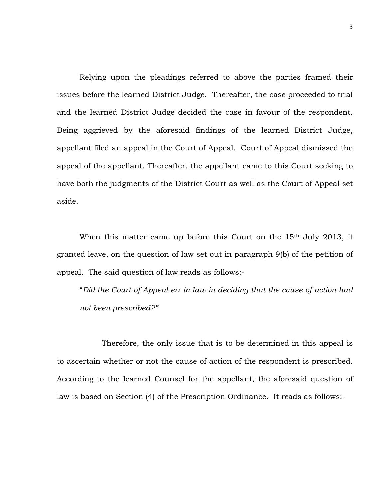Relying upon the pleadings referred to above the parties framed their issues before the learned District Judge. Thereafter, the case proceeded to trial and the learned District Judge decided the case in favour of the respondent. Being aggrieved by the aforesaid findings of the learned District Judge, appellant filed an appeal in the Court of Appeal. Court of Appeal dismissed the appeal of the appellant. Thereafter, the appellant came to this Court seeking to have both the judgments of the District Court as well as the Court of Appeal set aside.

When this matter came up before this Court on the 15<sup>th</sup> July 2013, it granted leave, on the question of law set out in paragraph 9(b) of the petition of appeal. The said question of law reads as follows:-

"*Did the Court of Appeal err in law in deciding that the cause of action had not been prescribed?"*

Therefore, the only issue that is to be determined in this appeal is to ascertain whether or not the cause of action of the respondent is prescribed. According to the learned Counsel for the appellant, the aforesaid question of law is based on Section (4) of the Prescription Ordinance. It reads as follows:-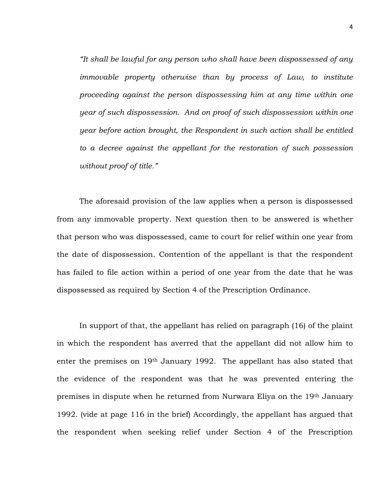*"It shall be lawful for any person who shall have been dispossessed of any immovable property otherwise than by process of Law, to institute proceeding against the person dispossessing him at any time within one year of such dispossession. And on proof of such dispossession within one year before action brought, the Respondent in such action shall be entitled to a decree against the appellant for the restoration of such possession without proof of title."*

The aforesaid provision of the law applies when a person is dispossessed from any immovable property. Next question then to be answered is whether that person who was dispossessed, came to court for relief within one year from the date of dispossession. Contention of the appellant is that the respondent has failed to file action within a period of one year from the date that he was dispossessed as required by Section 4 of the Prescription Ordinance.

In support of that, the appellant has relied on paragraph (16) of the plaint in which the respondent has averred that the appellant did not allow him to enter the premises on 19<sup>th</sup> January 1992. The appellant has also stated that the evidence of the respondent was that he was prevented entering the premises in dispute when he returned from Nurwara Eliya on the 19th January 1992. (vide at page 116 in the brief) Accordingly, the appellant has argued that the respondent when seeking relief under Section 4 of the Prescription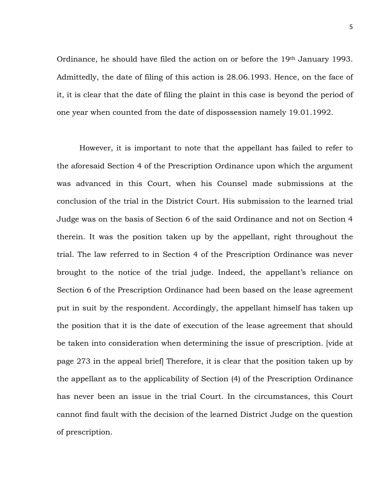Ordinance, he should have filed the action on or before the 19th January 1993. Admittedly, the date of filing of this action is 28.06.1993. Hence, on the face of it, it is clear that the date of filing the plaint in this case is beyond the period of one year when counted from the date of dispossession namely 19.01.1992.

However, it is important to note that the appellant has failed to refer to the aforesaid Section 4 of the Prescription Ordinance upon which the argument was advanced in this Court, when his Counsel made submissions at the conclusion of the trial in the District Court. His submission to the learned trial Judge was on the basis of Section 6 of the said Ordinance and not on Section 4 therein. It was the position taken up by the appellant, right throughout the trial. The law referred to in Section 4 of the Prescription Ordinance was never brought to the notice of the trial judge. Indeed, the appellant's reliance on Section 6 of the Prescription Ordinance had been based on the lease agreement put in suit by the respondent. Accordingly, the appellant himself has taken up the position that it is the date of execution of the lease agreement that should be taken into consideration when determining the issue of prescription. [vide at page 273 in the appeal brief] Therefore, it is clear that the position taken up by the appellant as to the applicability of Section (4) of the Prescription Ordinance has never been an issue in the trial Court. In the circumstances, this Court cannot find fault with the decision of the learned District Judge on the question of prescription.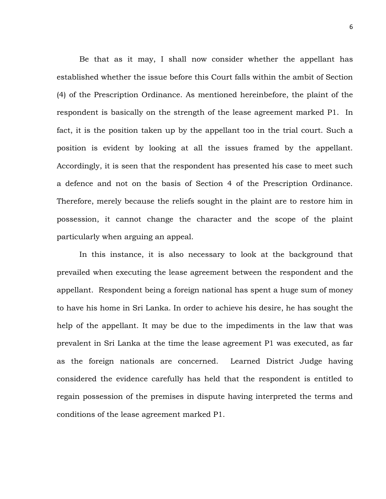Be that as it may, I shall now consider whether the appellant has established whether the issue before this Court falls within the ambit of Section (4) of the Prescription Ordinance. As mentioned hereinbefore, the plaint of the respondent is basically on the strength of the lease agreement marked P1. In fact, it is the position taken up by the appellant too in the trial court. Such a position is evident by looking at all the issues framed by the appellant. Accordingly, it is seen that the respondent has presented his case to meet such a defence and not on the basis of Section 4 of the Prescription Ordinance. Therefore, merely because the reliefs sought in the plaint are to restore him in possession, it cannot change the character and the scope of the plaint particularly when arguing an appeal.

In this instance, it is also necessary to look at the background that prevailed when executing the lease agreement between the respondent and the appellant. Respondent being a foreign national has spent a huge sum of money to have his home in Sri Lanka. In order to achieve his desire, he has sought the help of the appellant. It may be due to the impediments in the law that was prevalent in Sri Lanka at the time the lease agreement P1 was executed, as far as the foreign nationals are concerned. Learned District Judge having considered the evidence carefully has held that the respondent is entitled to regain possession of the premises in dispute having interpreted the terms and conditions of the lease agreement marked P1.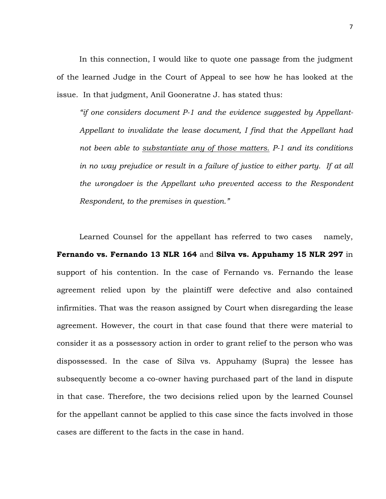In this connection, I would like to quote one passage from the judgment of the learned Judge in the Court of Appeal to see how he has looked at the issue. In that judgment, Anil Gooneratne J. has stated thus:

*"if one considers document P-1 and the evidence suggested by Appellant-Appellant to invalidate the lease document, I find that the Appellant had not been able to substantiate any of those matters. P-1 and its conditions*  in no way prejudice or result in a failure of justice to either party. If at all *the wrongdoer is the Appellant who prevented access to the Respondent Respondent, to the premises in question."*

Learned Counsel for the appellant has referred to two cases namely, **Fernando vs. Fernando 13 NLR 164** and **Silva vs. Appuhamy 15 NLR 297** in support of his contention. In the case of Fernando vs. Fernando the lease agreement relied upon by the plaintiff were defective and also contained infirmities. That was the reason assigned by Court when disregarding the lease agreement. However, the court in that case found that there were material to consider it as a possessory action in order to grant relief to the person who was dispossessed. In the case of Silva vs. Appuhamy (Supra) the lessee has subsequently become a co-owner having purchased part of the land in dispute in that case. Therefore, the two decisions relied upon by the learned Counsel for the appellant cannot be applied to this case since the facts involved in those cases are different to the facts in the case in hand.